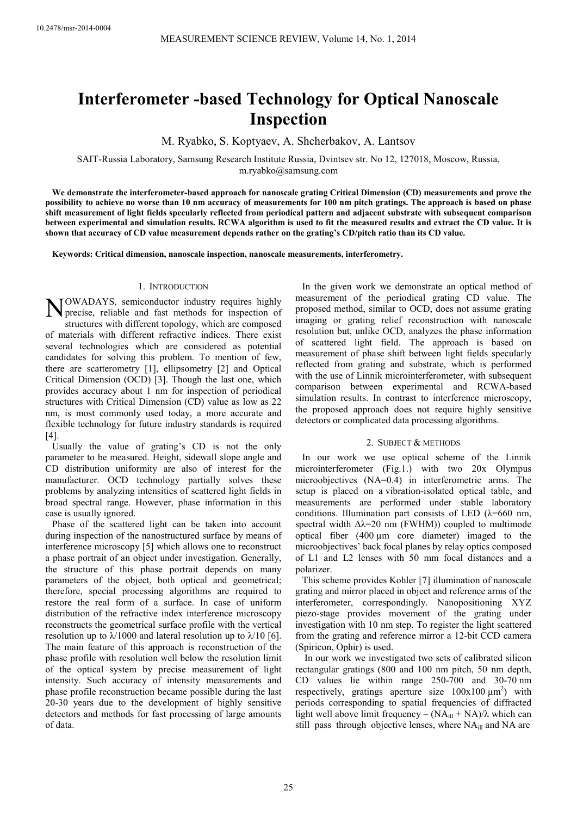# **Interferometer -based Technology for Optical Nanoscale Inspection**

M. Ryabko, S. Koptyaev, A. Shcherbakov, A. Lantsov

SAIT-Russia Laboratory, Samsung Research Institute Russia, Dvintsev str. No 12, 127018, Moscow, Russia, m.ryabko@samsung.com

**We demonstrate the interferometer-based approach for nanoscale grating Critical Dimension (CD) measurements and prove the possibility to achieve no worse than 10 nm accuracy of measurements for 100 nm pitch gratings. The approach is based on phase shift measurement of light fields specularly reflected from periodical pattern and adjacent substrate with subsequent comparison between experimental and simulation results. RCWA algorithm is used to fit the measured results and extract the CD value. It is shown that accuracy of CD value measurement depends rather on the grating's CD/pitch ratio than its CD value.** 

**Keywords: Critical dimension, nanoscale inspection, nanoscale measurements, interferometry.**

## 1. INTRODUCTION

NOWADAYS, semiconductor industry requires highly<br>precise, reliable and fast methods for inspection of precise, reliable and fast methods for inspection of structures with different topology, which are composed of materials with different refractive indices. There exist several technologies which are considered as potential candidates for solving this problem. To mention of few, there are scatterometry [1], ellipsometry [2] and Optical Critical Dimension (OCD) [3]. Though the last one, which provides accuracy about 1 nm for inspection of periodical structures with Critical Dimension (CD) value as low as 22 nm, is most commonly used today, a more accurate and flexible technology for future industry standards is required [4].

Usually the value of grating's CD is not the only parameter to be measured. Height, sidewall slope angle and CD distribution uniformity are also of interest for the manufacturer. OCD technology partially solves these problems by analyzing intensities of scattered light fields in broad spectral range. However, phase information in this case is usually ignored.

Phase of the scattered light can be taken into account during inspection of the nanostructured surface by means of interference microscopy [5] which allows one to reconstruct a phase portrait of an object under investigation. Generally, the structure of this phase portrait depends on many parameters of the object, both optical and geometrical; therefore, special processing algorithms are required to restore the real form of a surface. In case of uniform distribution of the refractive index interference microscopy reconstructs the geometrical surface profile with the vertical resolution up to  $\lambda$ /1000 and lateral resolution up to  $\lambda$ /10 [6]. The main feature of this approach is reconstruction of the phase profile with resolution well below the resolution limit of the optical system by precise measurement of light intensity. Such accuracy of intensity measurements and phase profile reconstruction became possible during the last 20-30 years due to the development of highly sensitive detectors and methods for fast processing of large amounts of data.

In the given work we demonstrate an optical method of measurement of the periodical grating CD value. The proposed method, similar to OCD, does not assume grating imaging or grating relief reconstruction with nanoscale resolution but, unlike OCD, analyzes the phase information of scattered light field. The approach is based on measurement of phase shift between light fields specularly reflected from grating and substrate, which is performed with the use of Linnik microinterferometer, with subsequent comparison between experimental and RCWA-based simulation results. In contrast to interference microscopy, the proposed approach does not require highly sensitive detectors or complicated data processing algorithms.

## 2. SUBJECT & METHODS

In our work we use optical scheme of the Linnik microinterferometer (Fig.1.) with two 20x Olympus microobjectives (NA=0.4) in interferometric arms. The setup is placed on a vibration-isolated optical table, and measurements are performed under stable laboratory conditions. Illumination part consists of LED ( $\lambda$ =660 nm, spectral width  $\Delta\lambda$ =20 nm (FWHM)) coupled to multimode optical fiber  $(400 \mu m)$  core diameter) imaged to the microobjectives' back focal planes by relay optics composed of L1 and L2 lenses with 50 mm focal distances and a polarizer.

This scheme provides Kohler [7] illumination of nanoscale grating and mirror placed in object and reference arms of the interferometer, correspondingly. Nanopositioning XYZ piezo-stage provides movement of the grating under investigation with 10 nm step. To register the light scattered from the grating and reference mirror a 12-bit CCD camera (Spiricon, Ophir) is used.

 In our work we investigated two sets of calibrated silicon rectangular gratings (800 and 100 nm pitch, 50 nm depth, CD values lie within range 250-700 and 30-70 nm respectively, gratings aperture size  $100x100 \mu m^2$  with periods corresponding to spatial frequencies of diffracted light well above limit frequency –  $(NA<sub>ill</sub> + NA)/\lambda$  which can still pass through objective lenses, where NA<sub>ill</sub> and NA are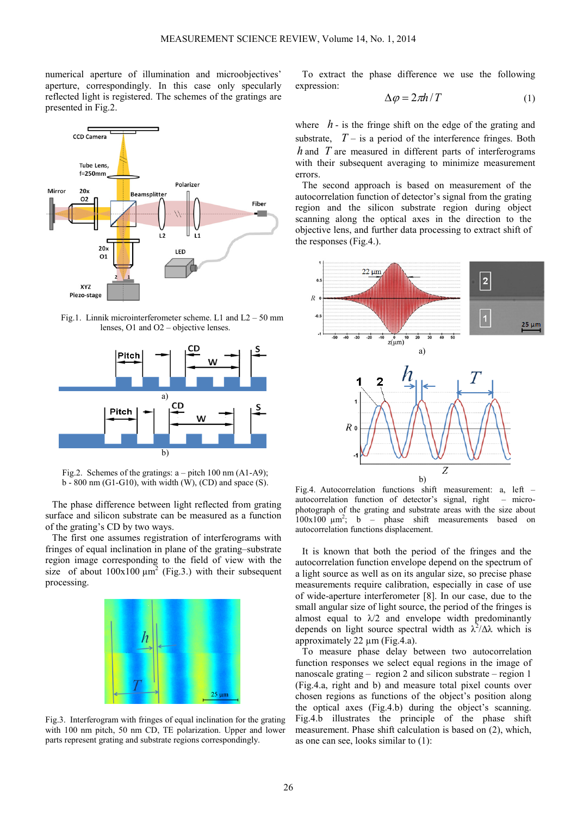numerical aperture of illumination and microobjectives' aperture, correspondingly. In this case only specularly reflected light is registered. The schemes of the gratings are presented in Fig.2.



Fig.1. Linnik microinterferometer scheme. L1 and L2 – 50 mm lenses, O1 and O2 – objective lenses.



Fig.2. Schemes of the gratings:  $a - pitch 100$  nm  $(A1-A9)$ ;  $b - 800$  nm (G1-G10), with width (W), (CD) and space (S).

The phase difference between light reflected from grating surface and silicon substrate can be measured as a function of the grating's CD by two ways.

The first one assumes registration of interferograms with fringes of equal inclination in plane of the grating–substrate region image corresponding to the field of view with the size of about  $100x100 \mu m^2$  (Fig.3.) with their subsequent processing.



Fig.3. Interferogram with fringes of equal inclination for the grating with 100 nm pitch, 50 nm CD, TE polarization. Upper and lower parts represent grating and substrate regions correspondingly.

To extract the phase difference we use the following expression:

$$
\Delta \varphi = 2\pi h / T \tag{1}
$$

where  $h$  - is the fringe shift on the edge of the grating and substrate,  $T -$  is a period of the interference fringes. Both *h* and *T* are measured in different parts of interferograms with their subsequent averaging to minimize measurement errors.

The second approach is based on measurement of the autocorrelation function of detector's signal from the grating region and the silicon substrate region during object scanning along the optical axes in the direction to the objective lens, and further data processing to extract shift of the responses (Fig.4.).



Fig.4. Autocorrelation functions shift measurement: a, left – autocorrelation function of detector's signal, right – microphotograph of the grating and substrate areas with the size about  $100x100 \mu m^2$ ; b – phase shift measurements based on autocorrelation functions displacement.

It is known that both the period of the fringes and the autocorrelation function envelope depend on the spectrum of a light source as well as on its angular size, so precise phase measurements require calibration, especially in case of use of wide-aperture interferometer [8]. In our case, due to the small angular size of light source, the period of the fringes is almost equal to  $\lambda/2$  and envelope width predominantly depends on light source spectral width as  $\lambda^2/\Delta\lambda$  which is approximately 22 µm (Fig.4.a).

To measure phase delay between two autocorrelation function responses we select equal regions in the image of nanoscale grating – region 2 and silicon substrate – region 1 (Fig.4.a, right and b) and measure total pixel counts over chosen regions as functions of the object's position along the optical axes (Fig.4.b) during the object's scanning. Fig.4.b illustrates the principle of the phase shift measurement. Phase shift calculation is based on (2), which, as one can see, looks similar to (1):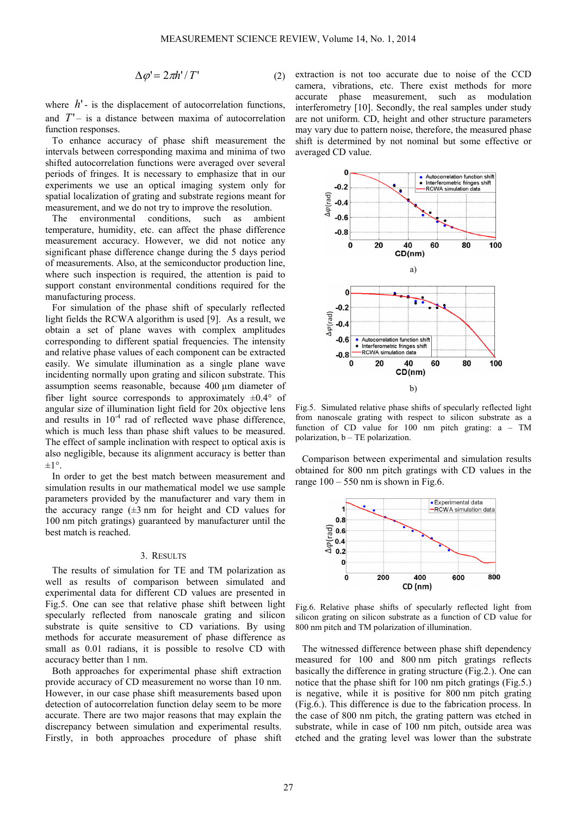$$
\Delta \varphi' = 2\pi h'/T'
$$
 (2)

where  $h'$ - is the displacement of autocorrelation functions, and  $T'$  – is a distance between maxima of autocorrelation function responses.

To enhance accuracy of phase shift measurement the intervals between corresponding maxima and minima of two shifted autocorrelation functions were averaged over several periods of fringes. It is necessary to emphasize that in our experiments we use an optical imaging system only for spatial localization of grating and substrate regions meant for measurement, and we do not try to improve the resolution.<br>The environmental conditions such as ambi

environmental conditions, such as ambient temperature, humidity, etc. can affect the phase difference measurement accuracy. However, we did not notice any significant phase difference change during the 5 days period of measurements. Also, at the semiconductor production line, where such inspection is required, the attention is paid to support constant environmental conditions required for the manufacturing process.

For simulation of the phase shift of specularly reflected light fields the RCWA algorithm is used [9]. As a result, we obtain a set of plane waves with complex amplitudes corresponding to different spatial frequencies. The intensity and relative phase values of each component can be extracted easily. We simulate illumination as a single plane wave incidenting normally upon grating and silicon substrate. This assumption seems reasonable, because 400 µm diameter of fiber light source corresponds to approximately  $\pm 0.4^{\circ}$  of angular size of illumination light field for 20x objective lens and results in  $10^{-4}$  rad of reflected wave phase difference, which is much less than phase shift values to be measured. The effect of sample inclination with respect to optical axis is also negligible, because its alignment accuracy is better than  $\pm 1^{\circ}$ .

In order to get the best match between measurement and simulation results in our mathematical model we use sample parameters provided by the manufacturer and vary them in the accuracy range  $(\pm 3 \text{ nm})$  for height and CD values for 100 nm pitch gratings) guaranteed by manufacturer until the best match is reached.

### 3. RESULTS

The results of simulation for TE and TM polarization as well as results of comparison between simulated and experimental data for different CD values are presented in Fig.5. One can see that relative phase shift between light specularly reflected from nanoscale grating and silicon substrate is quite sensitive to CD variations. By using methods for accurate measurement of phase difference as small as 0.01 radians, it is possible to resolve CD with accuracy better than 1 nm.

Both approaches for experimental phase shift extraction provide accuracy of CD measurement no worse than 10 nm. However, in our case phase shift measurements based upon detection of autocorrelation function delay seem to be more accurate. There are two major reasons that may explain the discrepancy between simulation and experimental results. Firstly, in both approaches procedure of phase shift extraction is not too accurate due to noise of the CCD camera, vibrations, etc. There exist methods for more accurate phase measurement, such as modulation interferometry [10]. Secondly, the real samples under study are not uniform. CD, height and other structure parameters may vary due to pattern noise, therefore, the measured phase shift is determined by not nominal but some effective or averaged CD value.



Fig.5. Simulated relative phase shifts of specularly reflected light from nanoscale grating with respect to silicon substrate as a function of CD value for 100 nm pitch grating: a – TM polarization, b – TE polarization.

Comparison between experimental and simulation results obtained for 800 nm pitch gratings with CD values in the range  $100 - 550$  nm is shown in Fig.6.



Fig.6. Relative phase shifts of specularly reflected light from silicon grating on silicon substrate as a function of CD value for 800 nm pitch and TM polarization of illumination.

The witnessed difference between phase shift dependency measured for 100 and 800 nm pitch gratings reflects basically the difference in grating structure (Fig.2.). One can notice that the phase shift for 100 nm pitch gratings (Fig.5.) is negative, while it is positive for 800 nm pitch grating (Fig.6.). This difference is due to the fabrication process. In the case of 800 nm pitch, the grating pattern was etched in substrate, while in case of 100 nm pitch, outside area was etched and the grating level was lower than the substrate